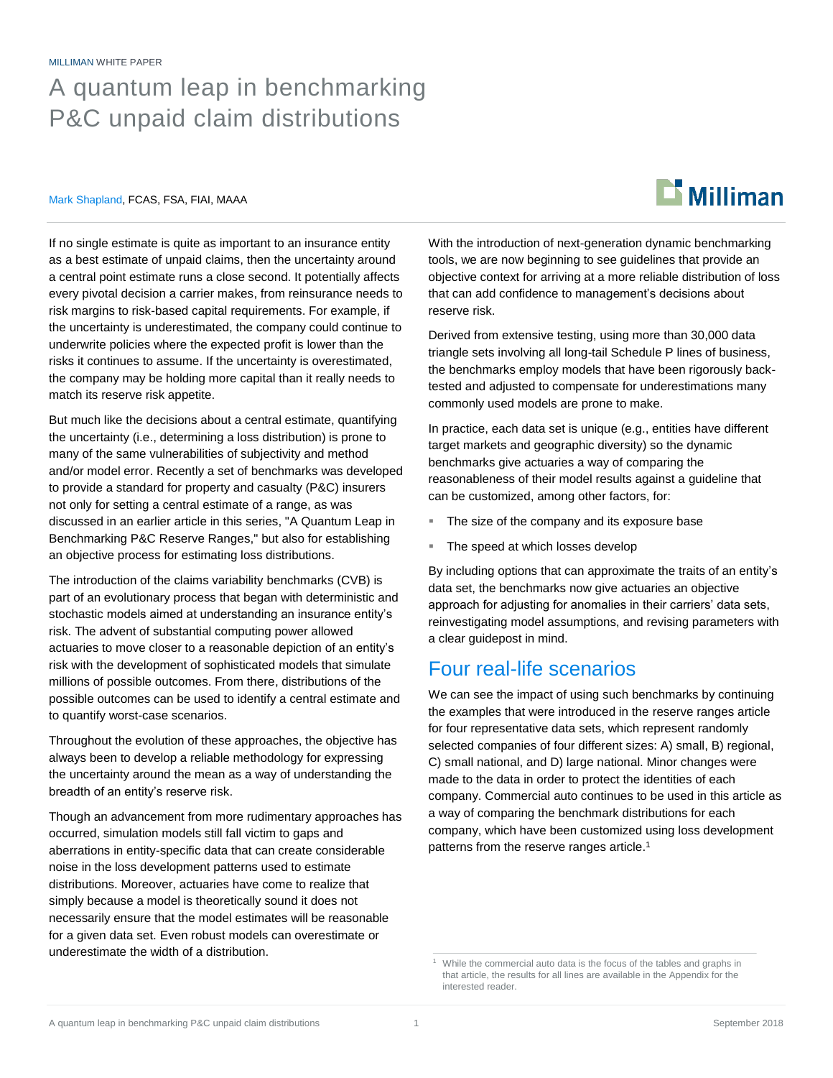#### MILLIMAN WHITE PAPER

# A quantum leap in benchmarking P&C unpaid claim distributions

#### Mark Shapland, FCAS, FSA, FIAI, MAAA

# $\mathbf{D}$  Milliman

If no single estimate is quite as important to an insurance entity as a best estimate of unpaid claims, then the uncertainty around a central point estimate runs a close second. It potentially affects every pivotal decision a carrier makes, from reinsurance needs to risk margins to risk-based capital requirements. For example, if the uncertainty is underestimated, the company could continue to underwrite policies where the expected profit is lower than the risks it continues to assume. If the uncertainty is overestimated, the company may be holding more capital than it really needs to match its reserve risk appetite.

But much like the decisions about a central estimate, quantifying the uncertainty (i.e., determining a loss distribution) is prone to many of the same vulnerabilities of subjectivity and method and/or model error. Recently a set of benchmarks was developed to provide a standard for property and casualty (P&C) insurers not only for setting a central estimate of a range, as was discussed in an earlier article in this series, "A Quantum Leap in Benchmarking P&C Reserve Ranges," but also for establishing an objective process for estimating loss distributions.

The introduction of the claims variability benchmarks (CVB) is part of an evolutionary process that began with deterministic and stochastic models aimed at understanding an insurance entity's risk. The advent of substantial computing power allowed actuaries to move closer to a reasonable depiction of an entity's risk with the development of sophisticated models that simulate millions of possible outcomes. From there, distributions of the possible outcomes can be used to identify a central estimate and to quantify worst-case scenarios.

Throughout the evolution of these approaches, the objective has always been to develop a reliable methodology for expressing the uncertainty around the mean as a way of understanding the breadth of an entity's reserve risk.

Though an advancement from more rudimentary approaches has occurred, simulation models still fall victim to gaps and aberrations in entity-specific data that can create considerable noise in the loss development patterns used to estimate distributions. Moreover, actuaries have come to realize that simply because a model is theoretically sound it does not necessarily ensure that the model estimates will be reasonable for a given data set. Even robust models can overestimate or underestimate the width of a distribution.

With the introduction of next-generation dynamic benchmarking tools, we are now beginning to see guidelines that provide an objective context for arriving at a more reliable distribution of loss that can add confidence to management's decisions about reserve risk.

Derived from extensive testing, using more than 30,000 data triangle sets involving all long-tail Schedule P lines of business, the benchmarks employ models that have been rigorously backtested and adjusted to compensate for underestimations many commonly used models are prone to make.

In practice, each data set is unique (e.g., entities have different target markets and geographic diversity) so the dynamic benchmarks give actuaries a way of comparing the reasonableness of their model results against a guideline that can be customized, among other factors, for:

- The size of the company and its exposure base
- The speed at which losses develop

By including options that can approximate the traits of an entity's data set, the benchmarks now give actuaries an objective approach for adjusting for anomalies in their carriers' data sets, reinvestigating model assumptions, and revising parameters with a clear guidepost in mind.

### Four real-life scenarios

We can see the impact of using such benchmarks by continuing the examples that were introduced in the reserve ranges article for four representative data sets, which represent randomly selected companies of four different sizes: A) small, B) regional, C) small national, and D) large national. Minor changes were made to the data in order to protect the identities of each company. Commercial auto continues to be used in this article as a way of comparing the benchmark distributions for each company, which have been customized using loss development patterns from the reserve ranges article.<sup>1</sup>

<sup>&</sup>lt;sup>1</sup> While the commercial auto data is the focus of the tables and graphs in that article, the results for all lines are available in the Appendix for the interested reader.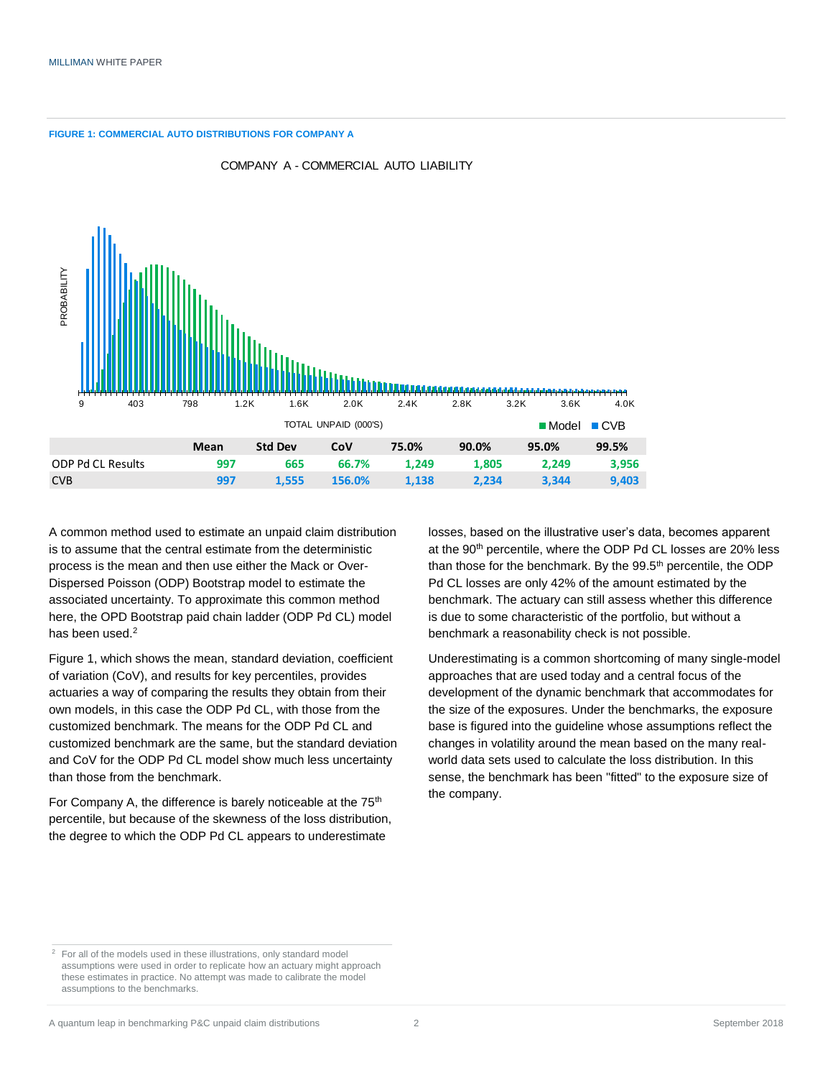**FIGURE 1: COMMERCIAL AUTO DISTRIBUTIONS FOR COMPANY A**



COMPANY A - COMMERCIAL AUTO LIABILITY

A common method used to estimate an unpaid claim distribution is to assume that the central estimate from the deterministic process is the mean and then use either the Mack or Over-Dispersed Poisson (ODP) Bootstrap model to estimate the associated uncertainty. To approximate this common method here, the OPD Bootstrap paid chain ladder (ODP Pd CL) model has been used.<sup>2</sup>

Figure 1, which shows the mean, standard deviation, coefficient of variation (CoV), and results for key percentiles, provides actuaries a way of comparing the results they obtain from their own models, in this case the ODP Pd CL, with those from the customized benchmark. The means for the ODP Pd CL and customized benchmark are the same, but the standard deviation and CoV for the ODP Pd CL model show much less uncertainty than those from the benchmark.

For Company A, the difference is barely noticeable at the 75<sup>th</sup> percentile, but because of the skewness of the loss distribution, the degree to which the ODP Pd CL appears to underestimate

losses, based on the illustrative user's data, becomes apparent at the 90<sup>th</sup> percentile, where the ODP Pd CL losses are 20% less than those for the benchmark. By the 99.5<sup>th</sup> percentile, the ODP Pd CL losses are only 42% of the amount estimated by the benchmark. The actuary can still assess whether this difference is due to some characteristic of the portfolio, but without a benchmark a reasonability check is not possible.

Underestimating is a common shortcoming of many single-model approaches that are used today and a central focus of the development of the dynamic benchmark that accommodates for the size of the exposures. Under the benchmarks, the exposure base is figured into the guideline whose assumptions reflect the changes in volatility around the mean based on the many realworld data sets used to calculate the loss distribution. In this sense, the benchmark has been "fitted" to the exposure size of the company.

<sup>&</sup>lt;sup>2</sup> For all of the models used in these illustrations, only standard model assumptions were used in order to replicate how an actuary might approach these estimates in practice. No attempt was made to calibrate the model assumptions to the benchmarks.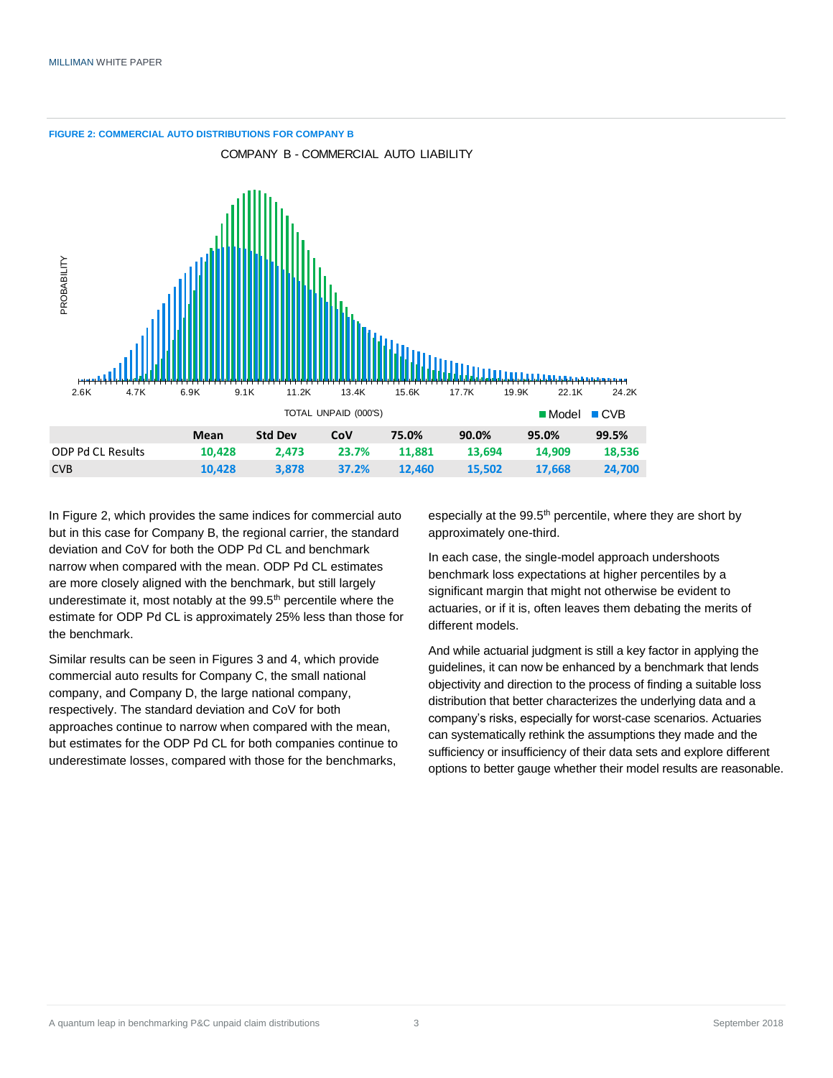

In Figure 2, which provides the same indices for commercial auto but in this case for Company B, the regional carrier, the standard deviation and CoV for both the ODP Pd CL and benchmark narrow when compared with the mean. ODP Pd CL estimates are more closely aligned with the benchmark, but still largely underestimate it, most notably at the 99.5<sup>th</sup> percentile where the estimate for ODP Pd CL is approximately 25% less than those for the benchmark.

Similar results can be seen in Figures 3 and 4, which provide commercial auto results for Company C, the small national company, and Company D, the large national company, respectively. The standard deviation and CoV for both approaches continue to narrow when compared with the mean, but estimates for the ODP Pd CL for both companies continue to underestimate losses, compared with those for the benchmarks,

especially at the 99.5<sup>th</sup> percentile, where they are short by approximately one-third.

In each case, the single-model approach undershoots benchmark loss expectations at higher percentiles by a significant margin that might not otherwise be evident to actuaries, or if it is, often leaves them debating the merits of different models.

And while actuarial judgment is still a key factor in applying the guidelines, it can now be enhanced by a benchmark that lends objectivity and direction to the process of finding a suitable loss distribution that better characterizes the underlying data and a company's risks, especially for worst-case scenarios. Actuaries can systematically rethink the assumptions they made and the sufficiency or insufficiency of their data sets and explore different options to better gauge whether their model results are reasonable.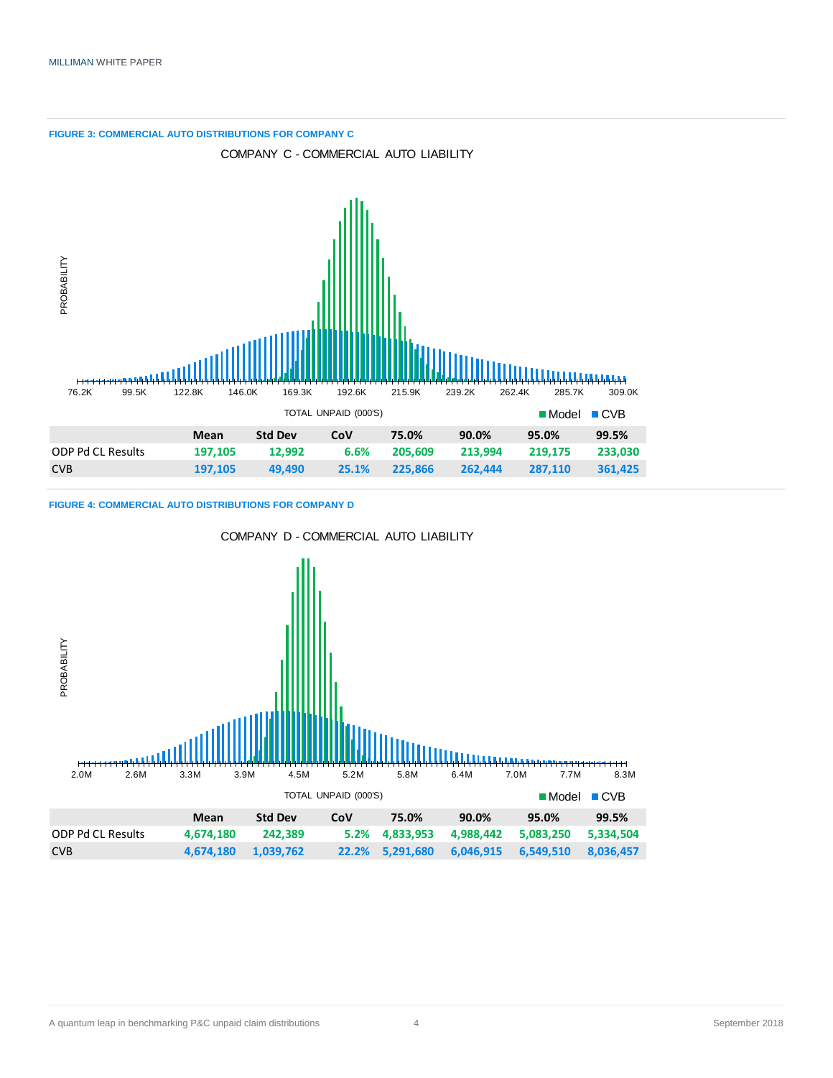

**FIGURE 4: COMMERCIAL AUTO DISTRIBUTIONS FOR COMPANY D**

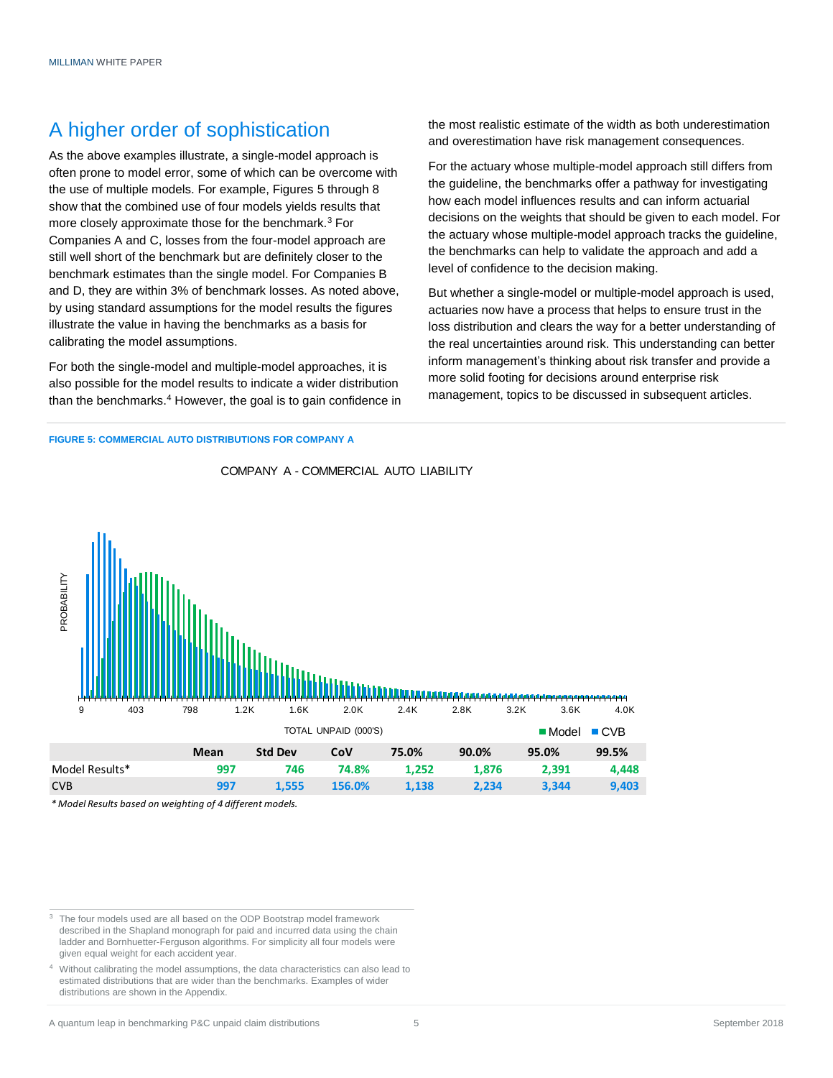## A higher order of sophistication

As the above examples illustrate, a single-model approach is often prone to model error, some of which can be overcome with the use of multiple models. For example, Figures 5 through 8 show that the combined use of four models yields results that more closely approximate those for the benchmark.<sup>3</sup> For Companies A and C, losses from the four-model approach are still well short of the benchmark but are definitely closer to the benchmark estimates than the single model. For Companies B and D, they are within 3% of benchmark losses. As noted above, by using standard assumptions for the model results the figures illustrate the value in having the benchmarks as a basis for calibrating the model assumptions.

For both the single-model and multiple-model approaches, it is also possible for the model results to indicate a wider distribution than the benchmarks.<sup>4</sup> However, the goal is to gain confidence in the most realistic estimate of the width as both underestimation and overestimation have risk management consequences.

For the actuary whose multiple-model approach still differs from the guideline, the benchmarks offer a pathway for investigating how each model influences results and can inform actuarial decisions on the weights that should be given to each model. For the actuary whose multiple-model approach tracks the guideline, the benchmarks can help to validate the approach and add a level of confidence to the decision making.

But whether a single-model or multiple-model approach is used, actuaries now have a process that helps to ensure trust in the loss distribution and clears the way for a better understanding of the real uncertainties around risk. This understanding can better inform management's thinking about risk transfer and provide a more solid footing for decisions around enterprise risk management, topics to be discussed in subsequent articles.

#### **FIGURE 5: COMMERCIAL AUTO DISTRIBUTIONS FOR COMPANY A**



COMPANY A - COMMERCIAL AUTO LIABILITY

*\* Model Results based on weighting of 4 different models.*

<sup>3</sup> The four models used are all based on the ODP Bootstrap model framework described in the Shapland monograph for paid and incurred data using the chain ladder and Bornhuetter-Ferguson algorithms. For simplicity all four models were given equal weight for each accident year.

<sup>4</sup> Without calibrating the model assumptions, the data characteristics can also lead to estimated distributions that are wider than the benchmarks. Examples of wider distributions are shown in the Appendix.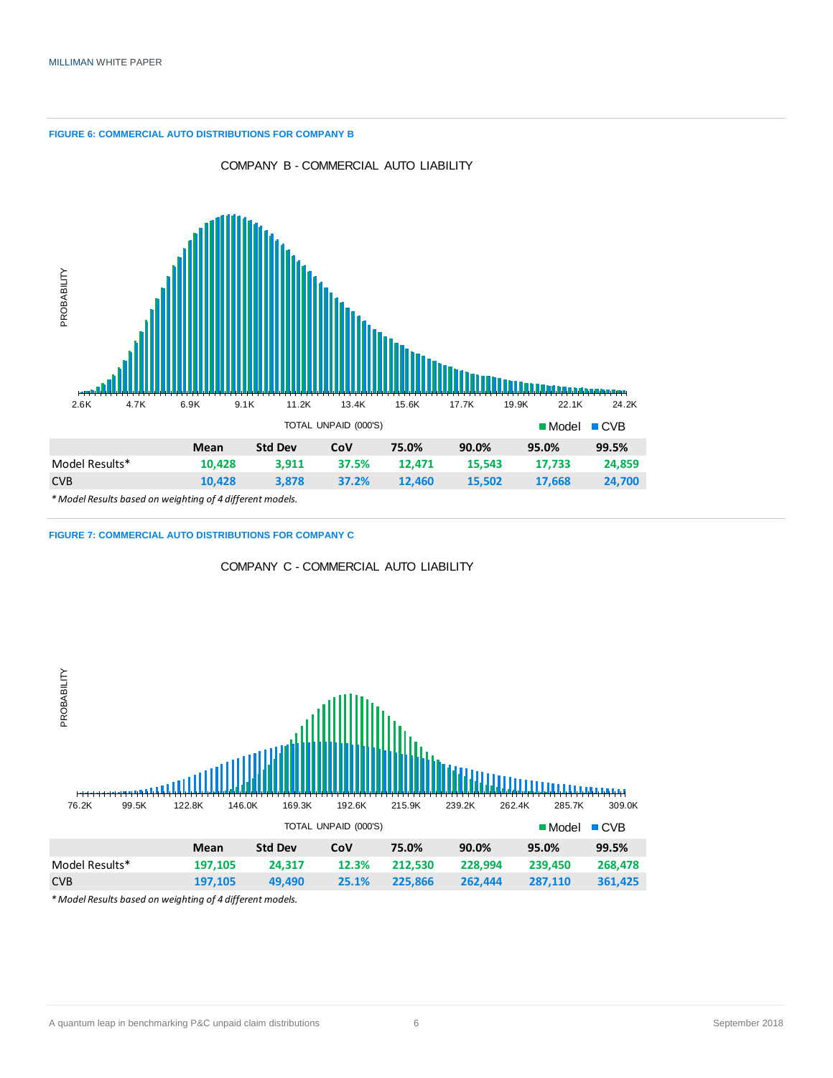**FIGURE 6: COMMERCIAL AUTO DISTRIBUTIONS FOR COMPANY B**



**FIGURE 7: COMMERCIAL AUTO DISTRIBUTIONS FOR COMPANY C**



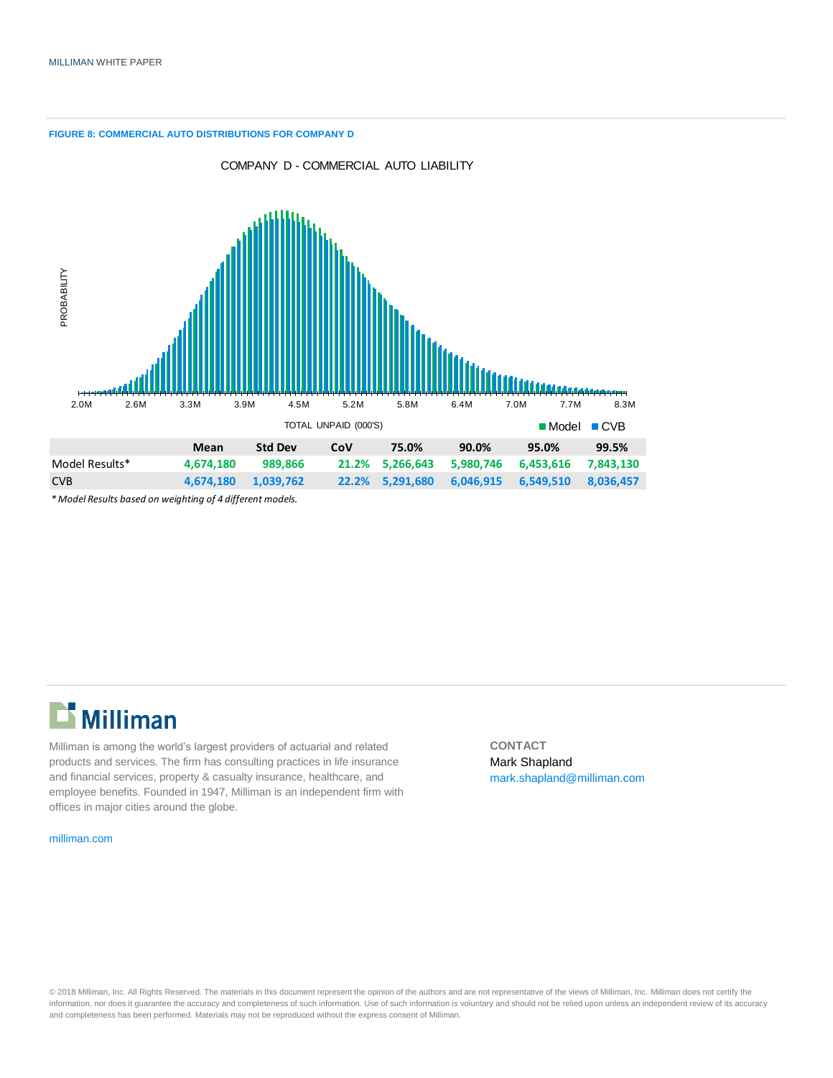**FIGURE 8: COMMERCIAL AUTO DISTRIBUTIONS FOR COMPANY D**



COMPANY D - COMMERCIAL AUTO LIABILITY

*\* Model Results based on weighting of 4 different models.*

# Milliman

Milliman is among the world's largest providers of actuarial and related products and services. The firm has consulting practices in life insurance and financial services, property & casualty insurance, healthcare, and employee benefits. Founded in 1947, Milliman is an independent firm with offices in major cities around the globe.

[milliman.com](http://www.milliman.com/)

**CONTACT** Mark Shapland [mark.shapland@milliman.com](mailto:mark.shapland@milliman.com)

© 2018 Milliman, Inc. All Rights Reserved. The materials in this document represent the opinion of the authors and are not representative of the views of Milliman, Inc. Milliman does not certify the information, nor does it guarantee the accuracy and completeness of such information. Use of such information is voluntary and should not be relied upon unless an independent review of its accuracy and completeness has been performed. Materials may not be reproduced without the express consent of Milliman.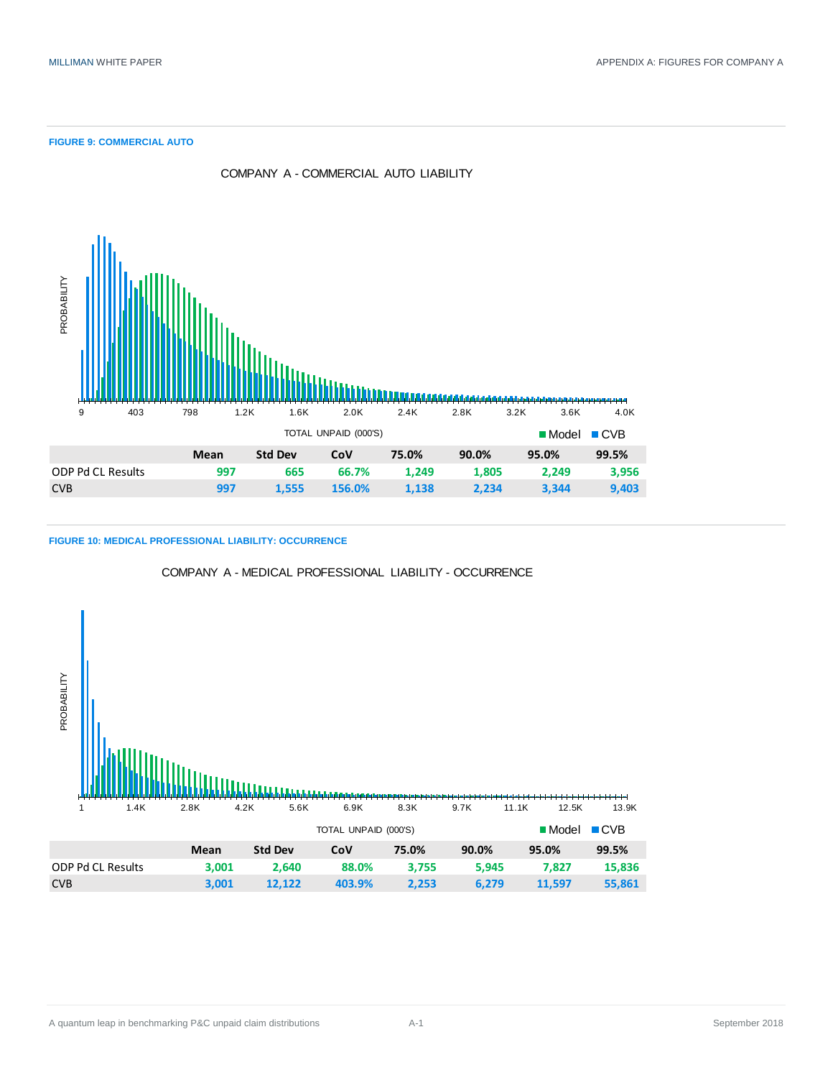#### **FIGURE 9: COMMERCIAL AUTO**



COMPANY A - COMMERCIAL AUTO LIABILITY

**FIGURE 10: MEDICAL PROFESSIONAL LIABILITY: OCCURRENCE**



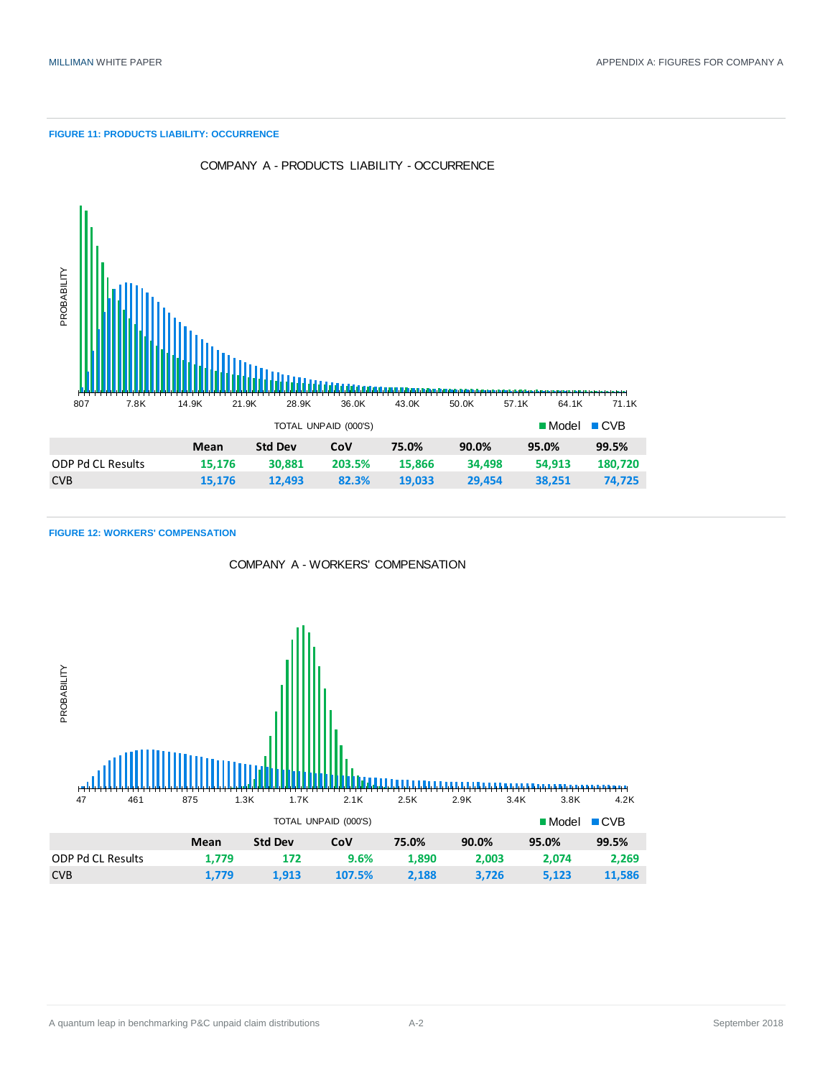#### **FIGURE 11: PRODUCTS LIABILITY: OCCURRENCE**



COMPANY A - PRODUCTS LIABILITY - OCCURRENCE

|                   |        | TOTAL UNPAID (000'S) |        | $\blacksquare$ Model $\blacksquare$ CVB |        |        |         |
|-------------------|--------|----------------------|--------|-----------------------------------------|--------|--------|---------|
|                   | Mean   | <b>Std Dev</b>       | CoV    | 75.0%                                   | 90.0%  | 95.0%  | 99.5%   |
| ODP Pd CL Results | 15.176 | 30,881               | 203.5% | 15,866                                  | 34.498 | 54.913 | 180,720 |
| <b>CVB</b>        | 15.176 | 12.493               | 82.3%  | 19.033                                  | 29.454 | 38.251 | 74.725  |

### **FIGURE 12: WORKERS' COMPENSATION**



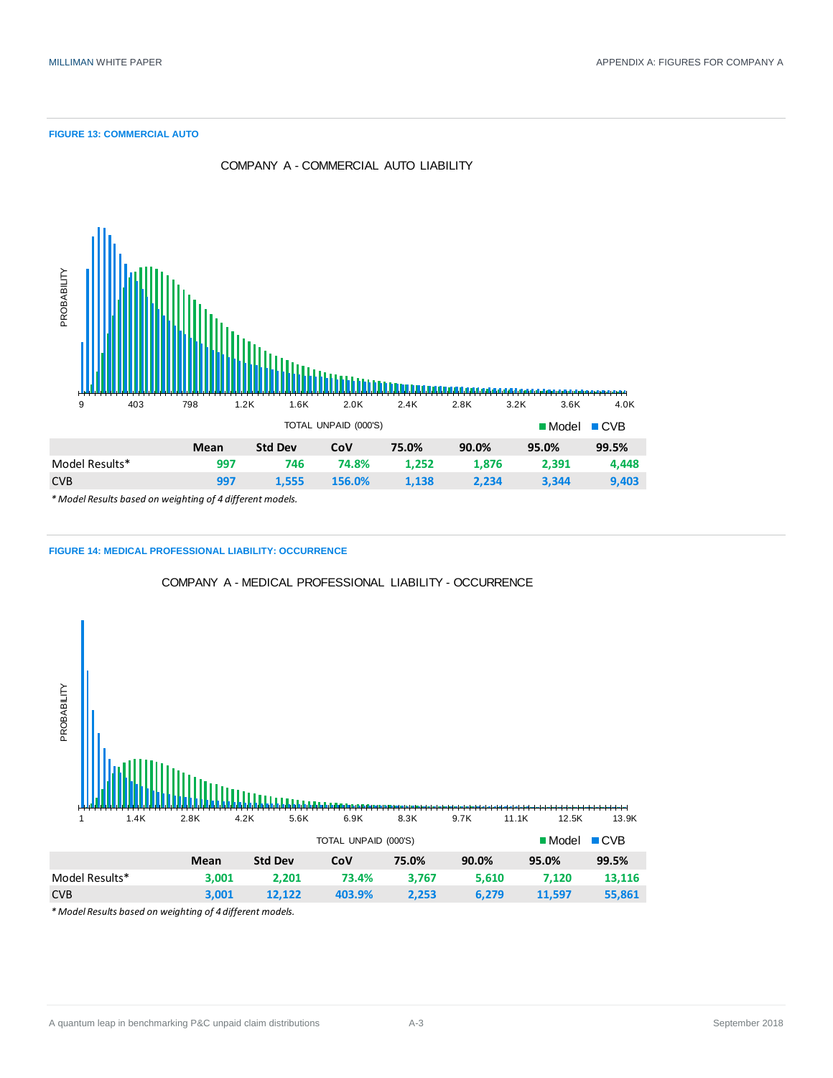#### **FIGURE 13: COMMERCIAL AUTO**



COMPANY A - COMMERCIAL AUTO LIABILITY





COMPANY A - MEDICAL PROFESSIONAL LIABILITY - OCCURRENCE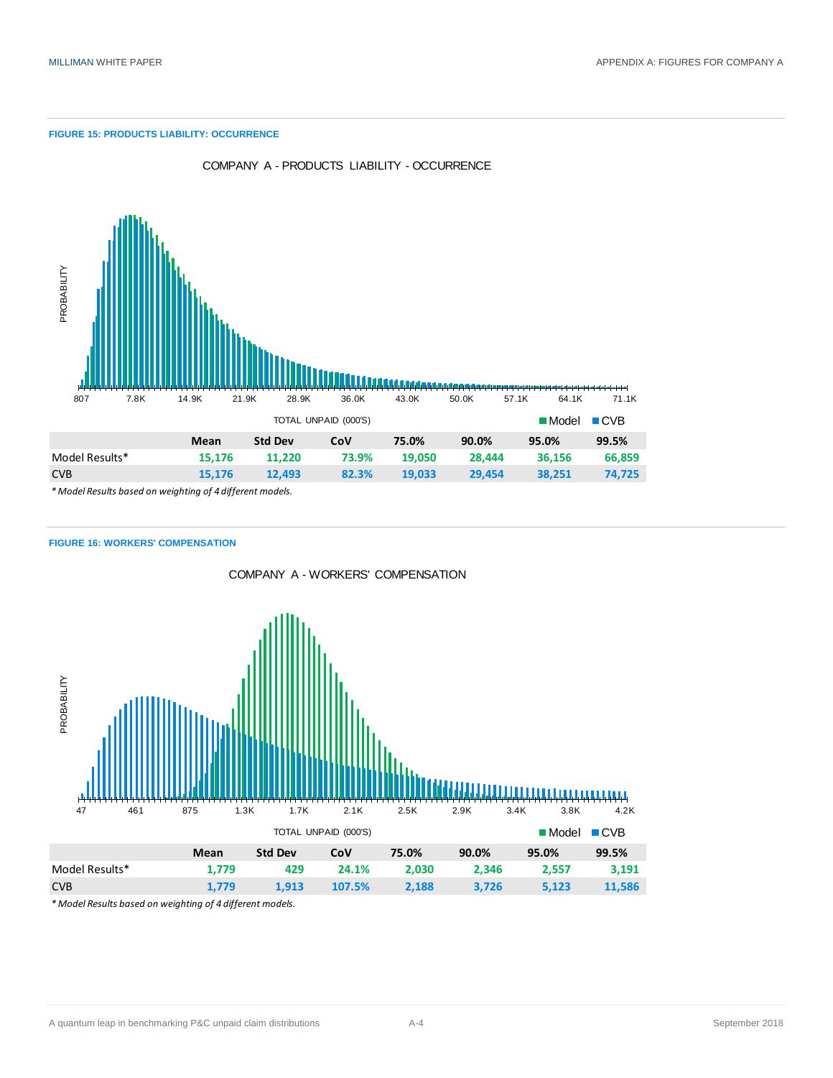#### **FIGURE 15: PRODUCTS LIABILITY: OCCURRENCE**



COMPANY A - PRODUCTS LIABILITY - OCCURRENCE

#### **FIGURE 16: WORKERS' COMPENSATION**

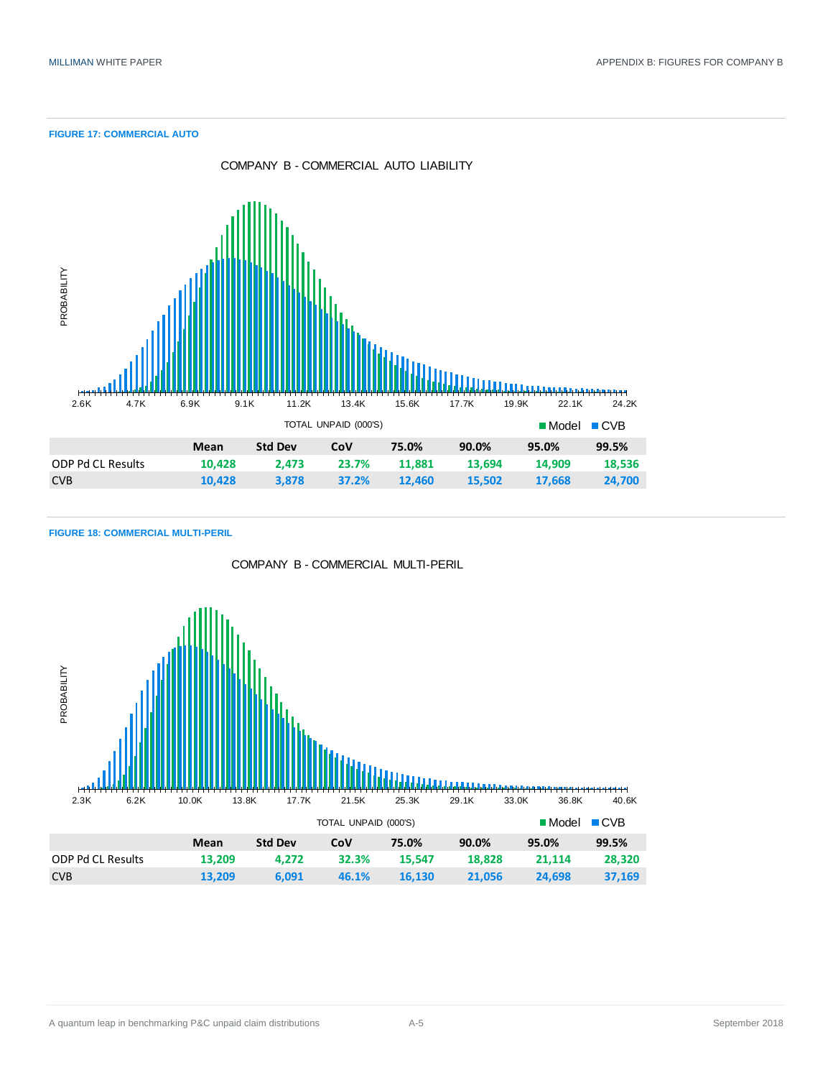**FIGURE 17: COMMERCIAL AUTO**



### **FIGURE 18: COMMERCIAL MULTI-PERIL**



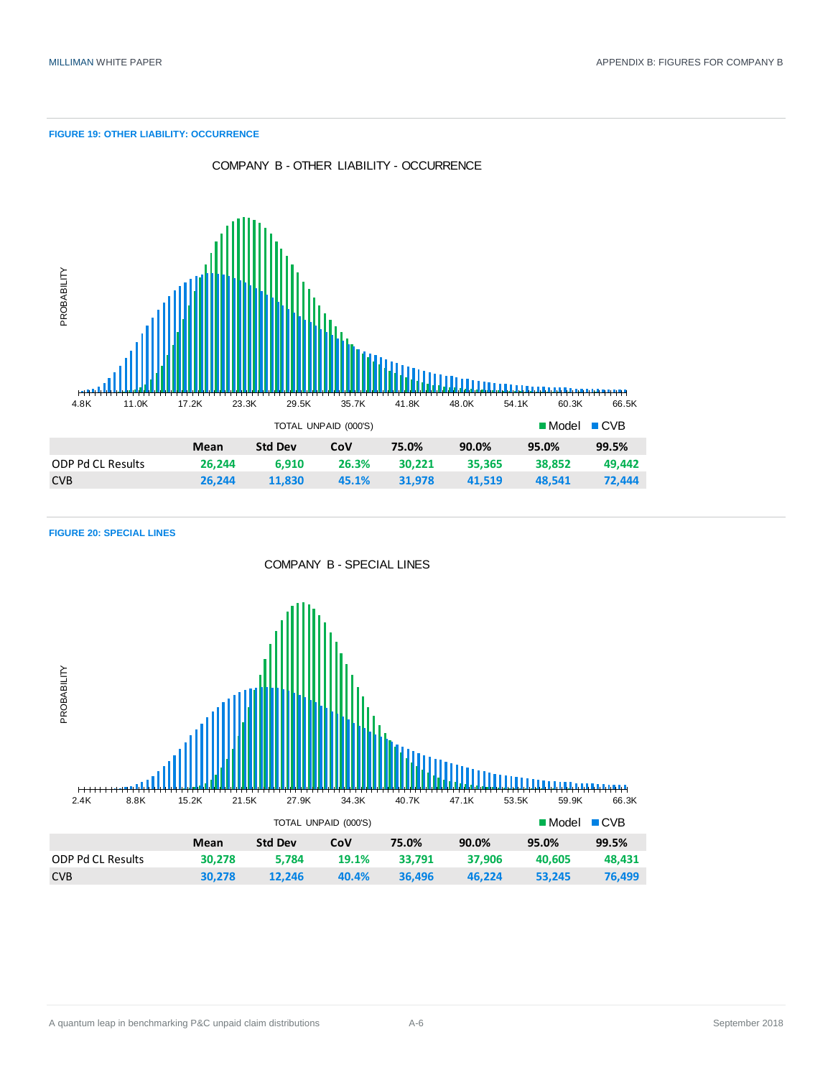#### **FIGURE 19: OTHER LIABILITY: OCCURRENCE**



**FIGURE 20: SPECIAL LINES**

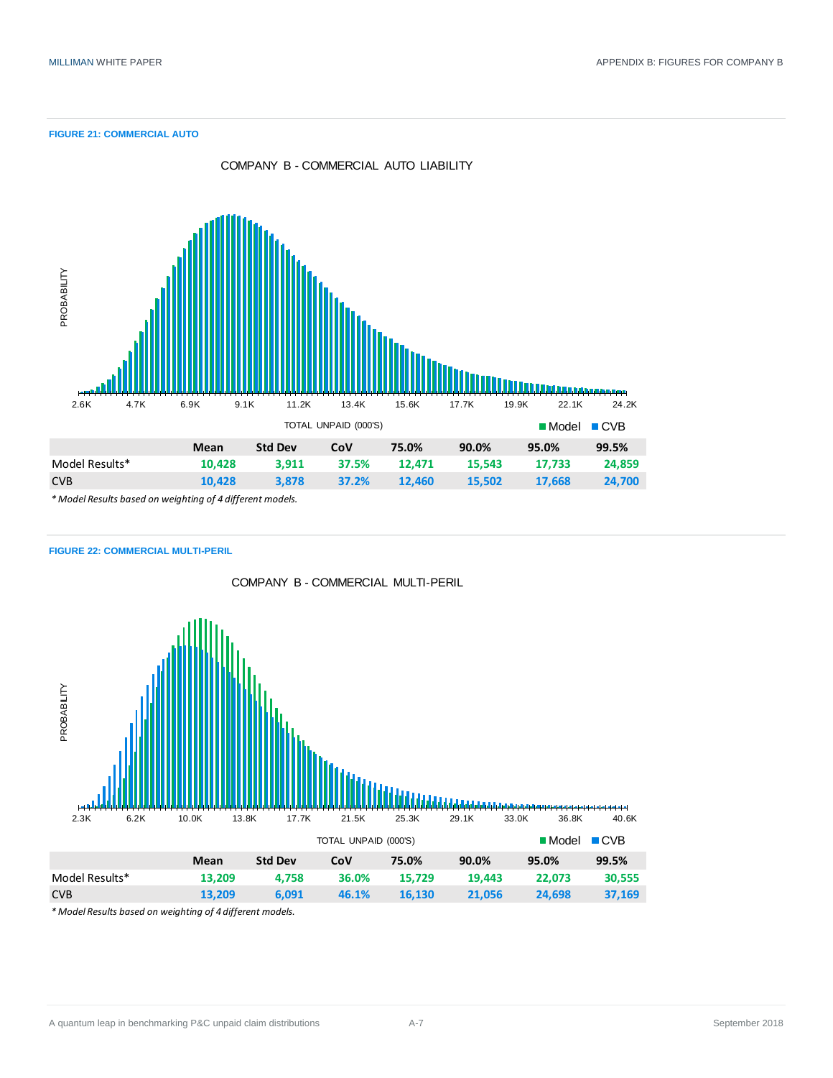**FIGURE 21: COMMERCIAL AUTO**



**FIGURE 22: COMMERCIAL MULTI-PERIL**

COMPANY B - COMMERCIAL MULTI-PERIL

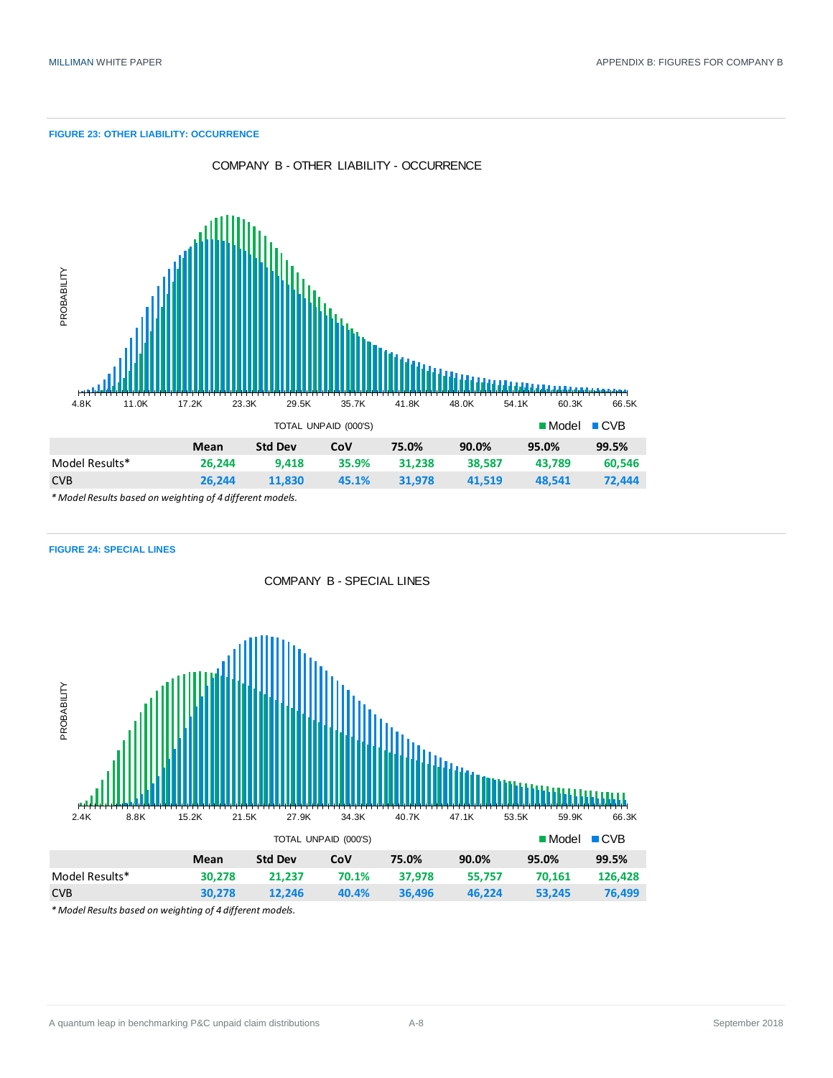#### **FIGURE 23: OTHER LIABILITY: OCCURRENCE**



COMPANY B - OTHER LIABILITY - OCCURRENCE

*\* Model Results based on weighting of 4 different models.*



COMPANY B - SPECIAL LINES

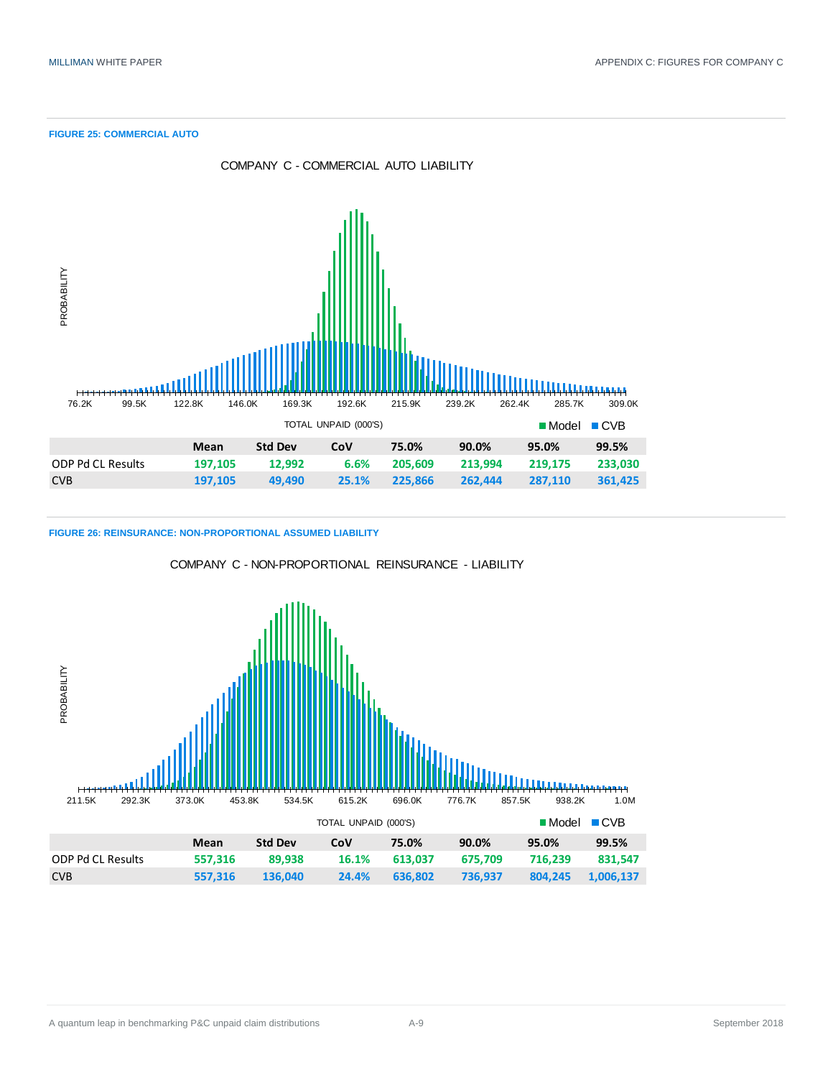**FIGURE 25: COMMERCIAL AUTO**



**FIGURE 26: REINSURANCE: NON-PROPORTIONAL ASSUMED LIABILITY**



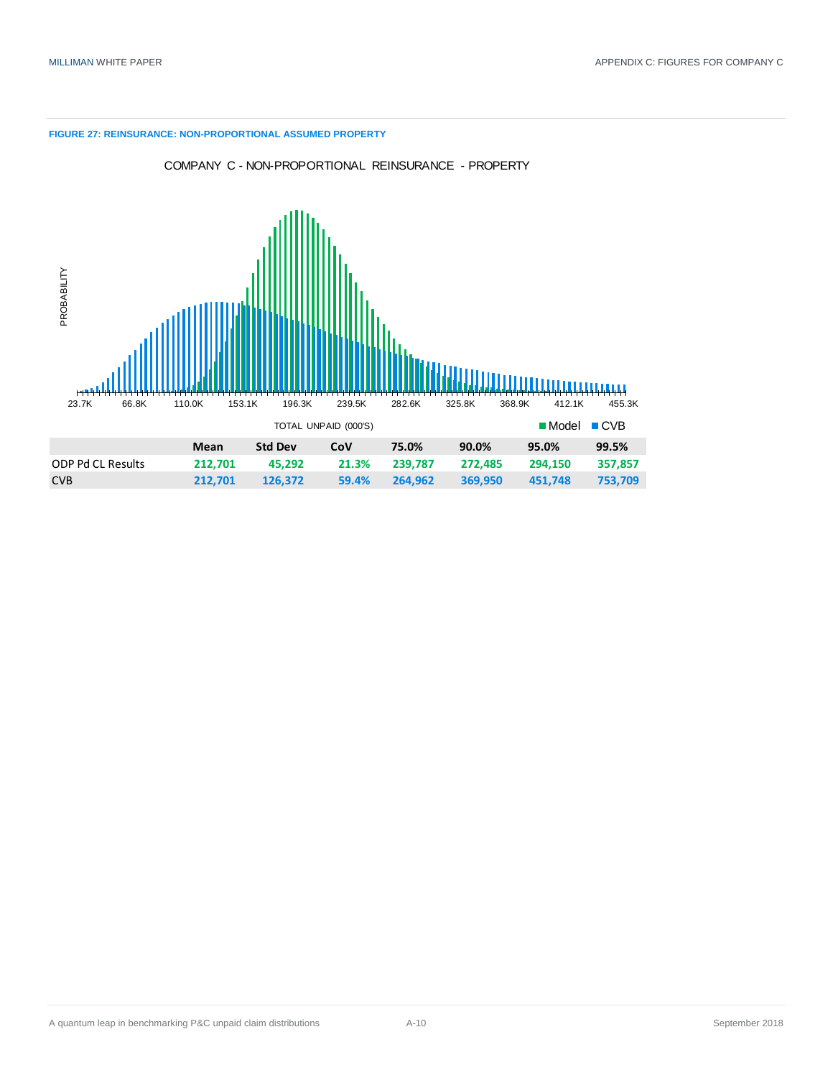#### **FIGURE 27: REINSURANCE: NON-PROPORTIONAL ASSUMED PROPERTY**





|                          |         | $\blacksquare$ Model $\blacksquare$ CVB |       |         |         |         |         |
|--------------------------|---------|-----------------------------------------|-------|---------|---------|---------|---------|
|                          | Mean    | <b>Std Dev</b>                          | CoV   | 75.0%   | 90.0%   | 95.0%   | 99.5%   |
| <b>ODP Pd CL Results</b> | 212.701 | 45.292                                  | 21.3% | 239.787 | 272.485 | 294.150 | 357.857 |
| <b>CVB</b>               | 212.701 | 126.372                                 | 59.4% | 264.962 | 369.950 | 451.748 | 753.709 |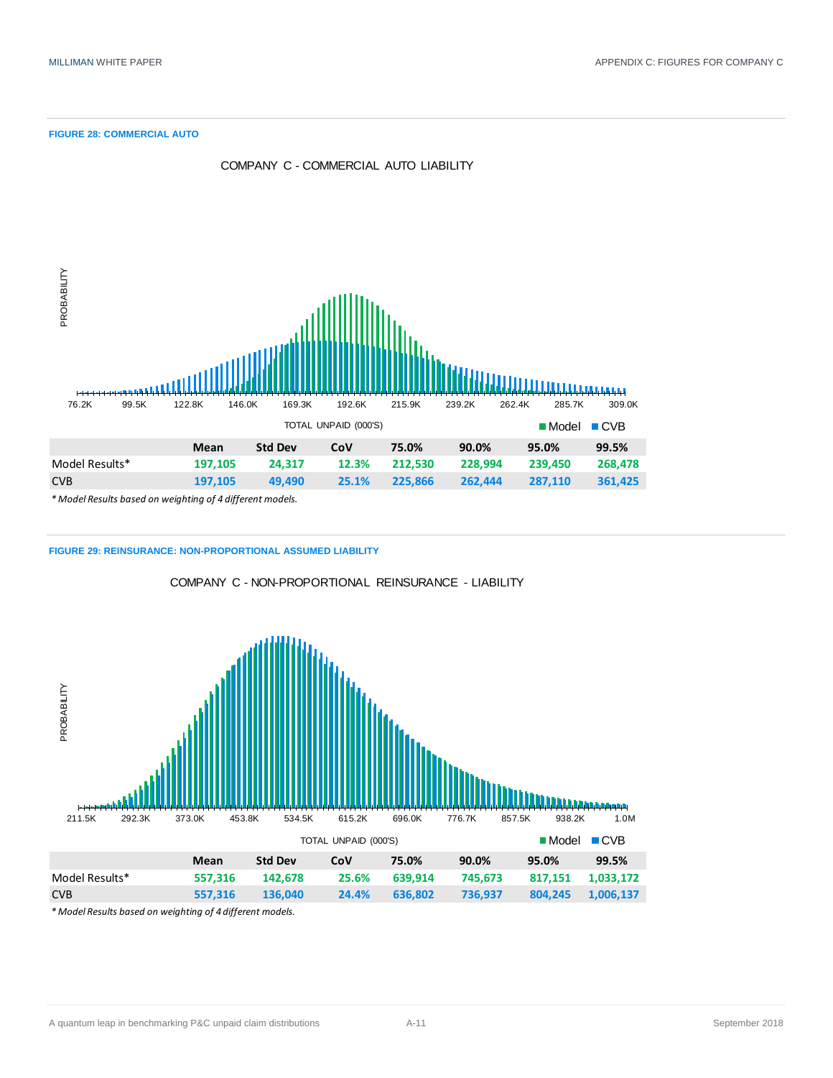**FIGURE 28: COMMERCIAL AUTO**



**FIGURE 29: REINSURANCE: NON-PROPORTIONAL ASSUMED LIABILITY**

COMPANY C - NON-PROPORTIONAL REINSURANCE - LIABILITY

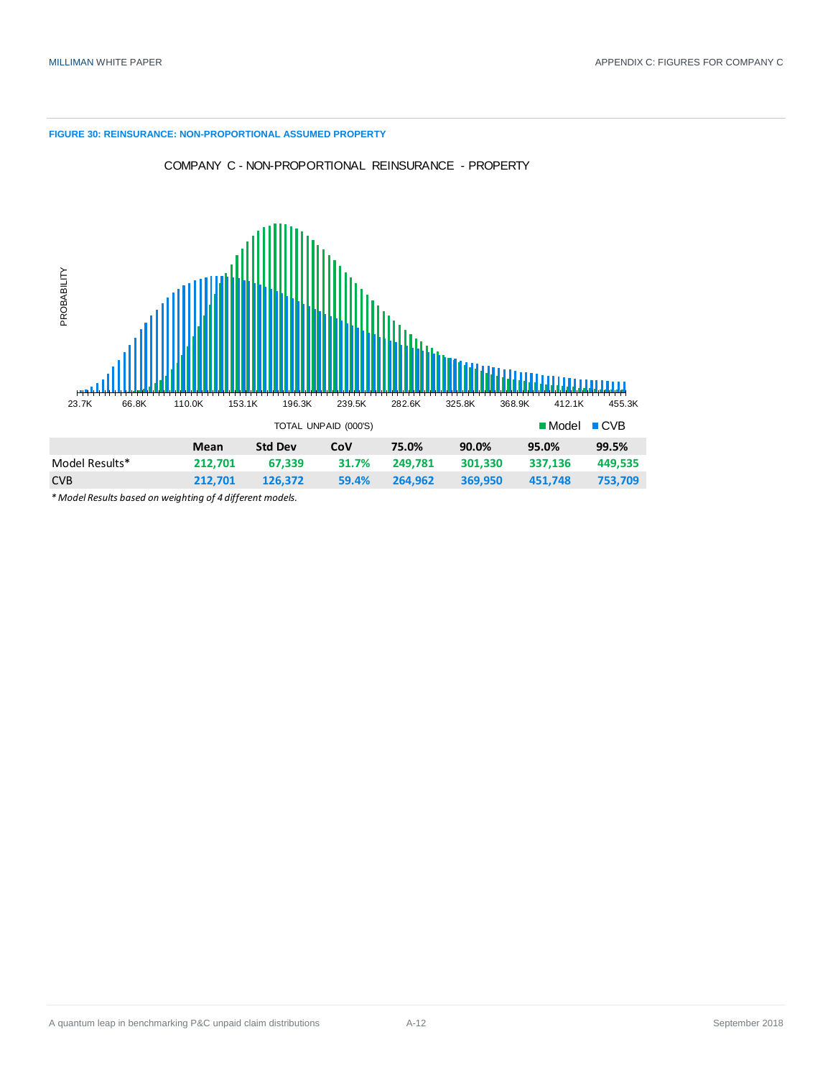#### **FIGURE 30: REINSURANCE: NON-PROPORTIONAL ASSUMED PROPERTY**



COMPANY C - NON-PROPORTIONAL REINSURANCE - PROPERTY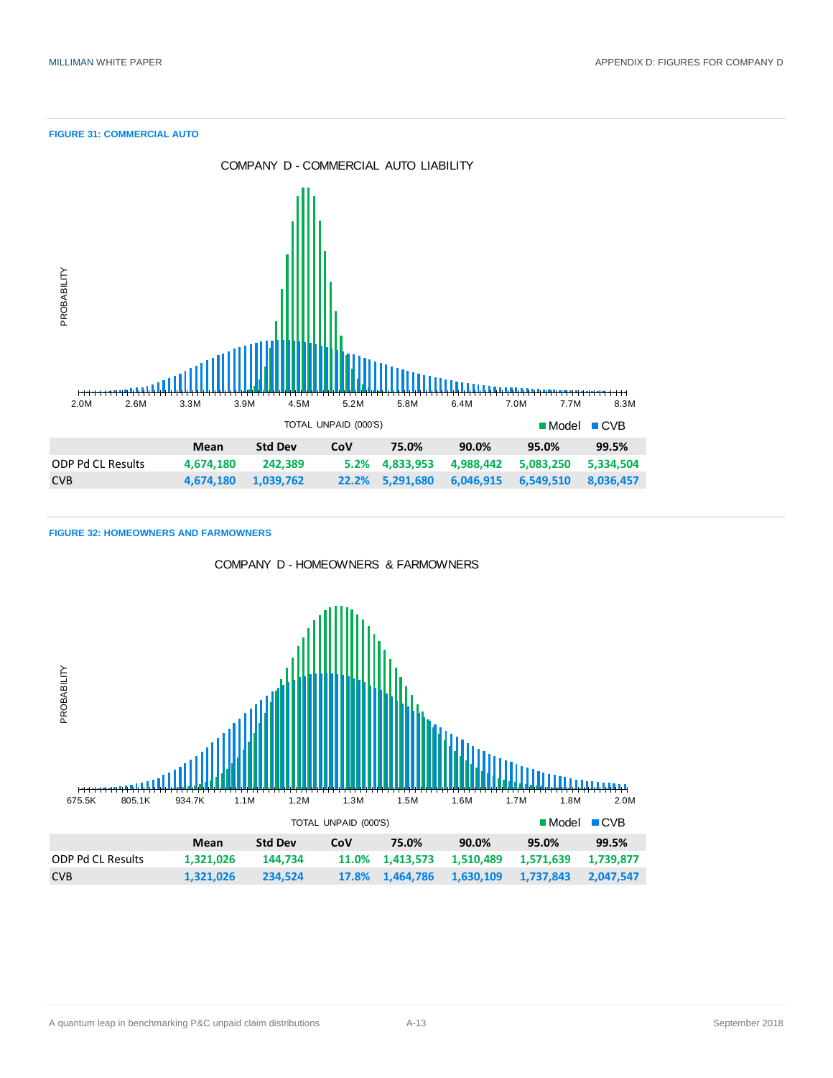**FIGURE 31: COMMERCIAL AUTO**



**FIGURE 32: HOMEOWNERS AND FARMOWNERS**



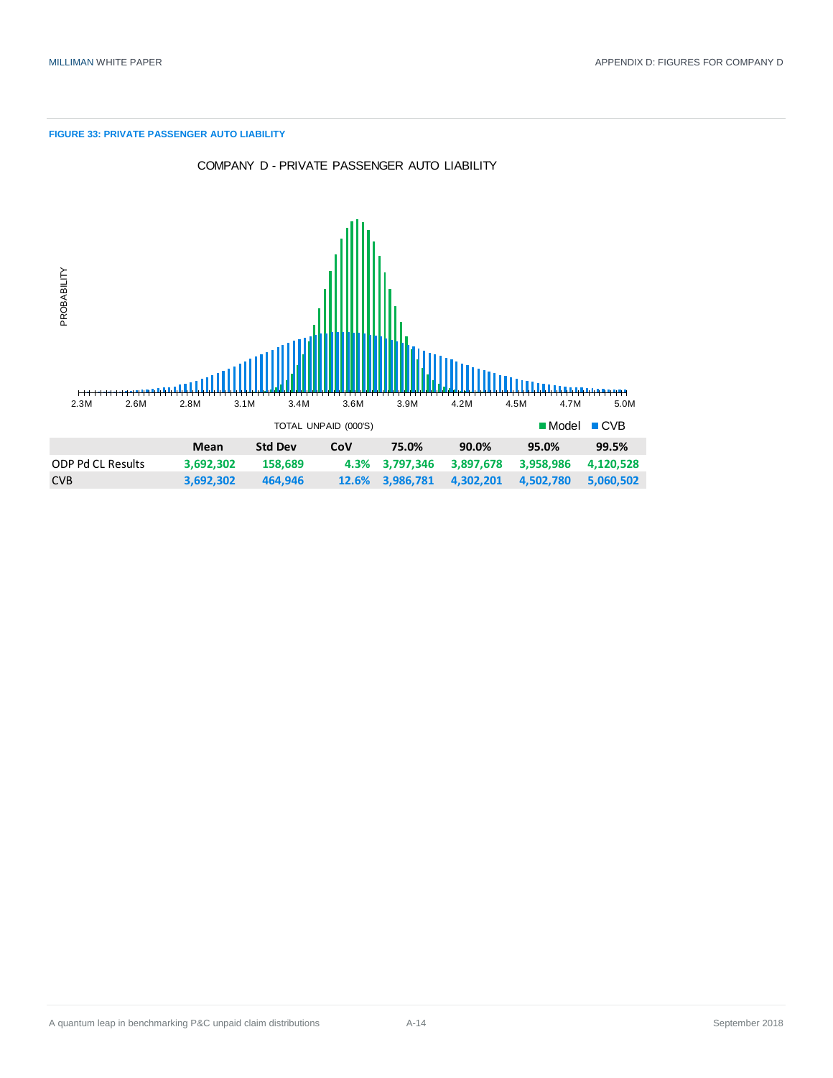#### **FIGURE 33: PRIVATE PASSENGER AUTO LIABILITY**



COMPANY D - PRIVATE PASSENGER AUTO LIABILITY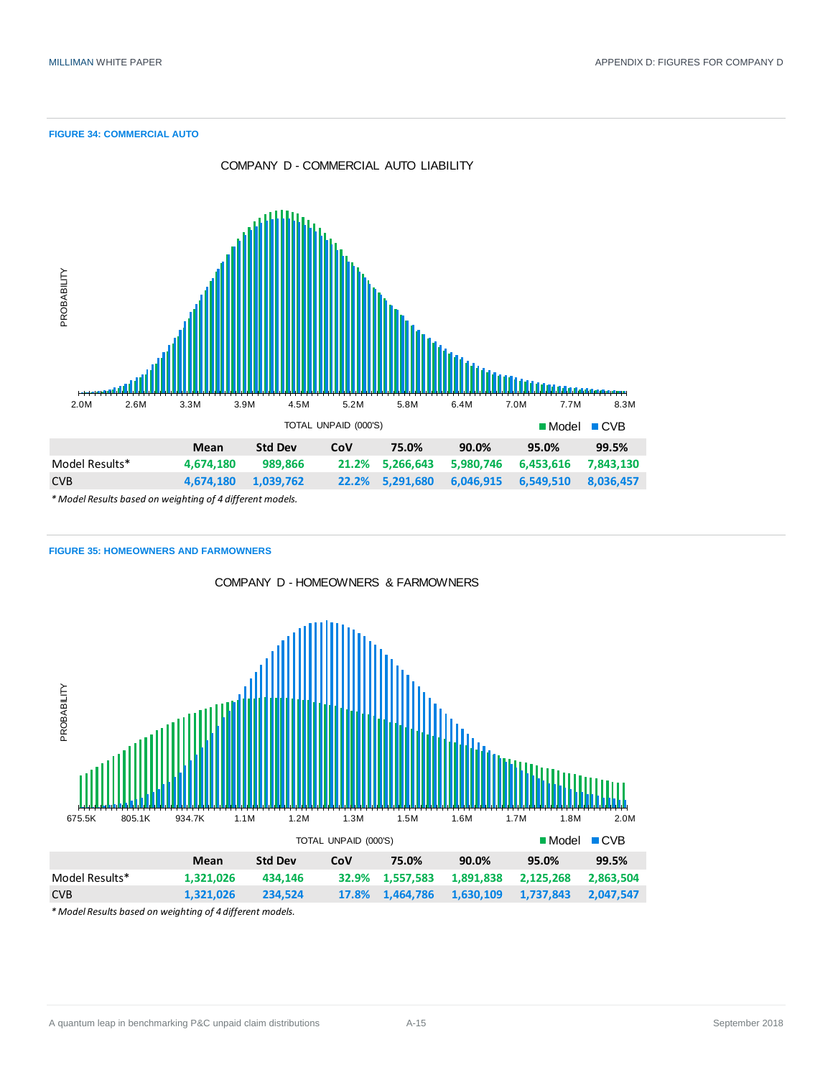**FIGURE 34: COMMERCIAL AUTO**



#### **FIGURE 35: HOMEOWNERS AND FARMOWNERS**